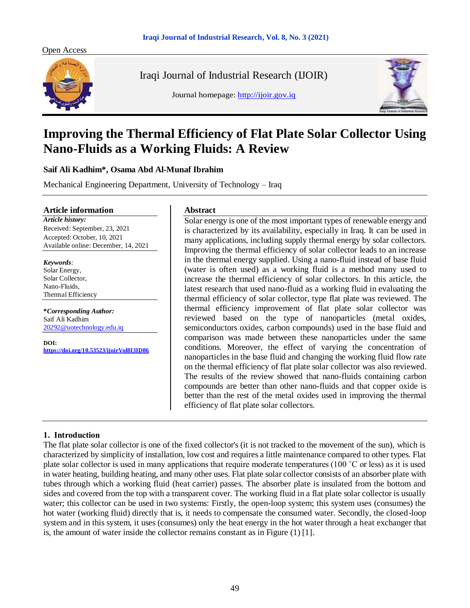



Iraqi Journal of Industrial Research (IJOIR)

Journal homepage: [http://ijoir.gov.iq](http://ijoir.gov.iq/)



# **Improving the Thermal Efficiency of Flat Plate Solar Collector Using Nano-Fluids as a Working Fluids: A Review**

**Saif Ali Kadhim\*, Osama Abd Al-Munaf Ibrahim**

Mechanical Engineering Department, University of Technology – Iraq

#### **Article information**

*Article history:* Received: September, 23, 2021 Accepted: October, 10, 2021 Available online: December, 14, 2021

*Keywords*:

Solar Energy, Solar Collector, Nano-Fluids, Thermal Efficiency

**\****Corresponding Author:* Saif Ali Kadhim [20292@uotechnology.edu.iq](mailto:20292@uotechnology.edu.iq)

**DOI: <https://doi.org/10.53523/ijoirVol8I3ID86>**

#### **Abstract**

Solar energy is one of the most important types of renewable energy and is characterized by its availability, especially in Iraq. It can be used in many applications, including supply thermal energy by solar collectors. Improving the thermal efficiency of solar collector leads to an increase in the thermal energy supplied. Using a nano-fluid instead of base fluid (water is often used) as a working fluid is a method many used to increase the thermal efficiency of solar collectors. In this article, the latest research that used nano-fluid as a working fluid in evaluating the thermal efficiency of solar collector, type flat plate was reviewed. The thermal efficiency improvement of flat plate solar collector was reviewed based on the type of nanoparticles (metal oxides, semiconductors oxides, carbon compounds) used in the base fluid and comparison was made between these nanoparticles under the same conditions. Moreover, the effect of varying the concentration of nanoparticles in the base fluid and changing the working fluid flow rate on the thermal efficiency of flat plate solar collector was also reviewed. The results of the review showed that nano-fluids containing carbon compounds are better than other nano-fluids and that copper oxide is better than the rest of the metal oxides used in improving the thermal efficiency of flat plate solar collectors.

## **1. Introduction**

The flat plate solar collector is one of the fixed collector's (it is not tracked to the movement of the sun), which is characterized by simplicity of installation, low cost and requires a little maintenance compared to other types. Flat plate solar collector is used in many applications that require moderate temperatures (100 ˚C or less) as it is used in water heating, building heating, and many other uses. Flat plate solar collector consists of an absorber plate with tubes through which a working fluid (heat carrier) passes. The absorber plate is insulated from the bottom and sides and covered from the top with a transparent cover. The working fluid in a flat plate solar collector is usually water; this collector can be used in two systems: Firstly, the open-loop system; this system uses (consumes) the hot water (working fluid) directly that is, it needs to compensate the consumed water. Secondly, the closed-loop system and in this system, it uses (consumes) only the heat energy in the hot water through a heat exchanger that is, the amount of water inside the collector remains constant as in Figure  $(1)$  [1].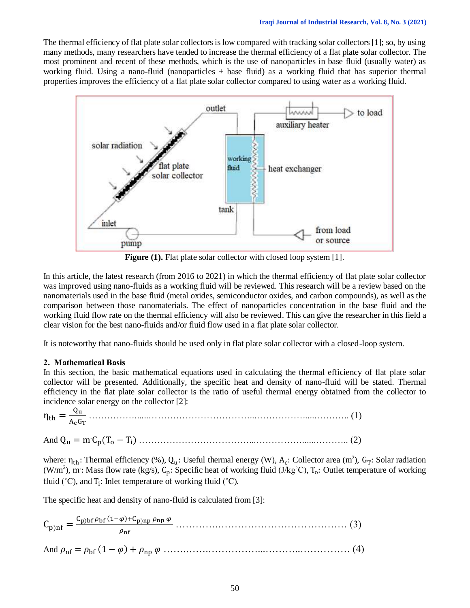The thermal efficiency of flat plate solar collectors is low compared with tracking solar collectors [1]; so, by using many methods, many researchers have tended to increase the thermal efficiency of a flat plate solar collector. The most prominent and recent of these methods, which is the use of nanoparticles in base fluid (usually water) as working fluid. Using a nano-fluid (nanoparticles + base fluid) as a working fluid that has superior thermal properties improves the efficiency of a flat plate solar collector compared to using water as a working fluid.



Figure (1). Flat plate solar collector with closed loop system [1].

In this article, the latest research (from 2016 to 2021) in which the thermal efficiency of flat plate solar collector was improved using nano-fluids as a working fluid will be reviewed. This research will be a review based on the nanomaterials used in the base fluid (metal oxides, semiconductor oxides, and carbon compounds), as well as the comparison between those nanomaterials. The effect of nanoparticles concentration in the base fluid and the working fluid flow rate on the thermal efficiency will also be reviewed. This can give the researcher in this field a clear vision for the best nano-fluids and/or fluid flow used in a flat plate solar collector.

It is noteworthy that nano-fluids should be used only in flat plate solar collector with a closed-loop system.

### **2. Mathematical Basis**

In this section, the basic mathematical equations used in calculating the thermal efficiency of flat plate solar collector will be presented. Additionally, the specific heat and density of nano-fluid will be stated. Thermal efficiency in the flat plate solar collector is the ratio of useful thermal energy obtained from the collector to incidence solar energy on the collector [2]:

 $\eta_{\text{th}} = \frac{Q_{\text{u}}}{4 \epsilon G}$ AcGT ……………......……………………………...……………......……….. (1)

And Q<sup>u</sup> = m.Cp(T<sup>o</sup> − T<sup>i</sup> ) ………………………………...……………......……….. (2)

where:  $\eta_{th}$ : Thermal efficiency (%),  $Q_u$ : Useful thermal energy (W),  $A_c$ : Collector area (m<sup>2</sup>),  $G_T$ : Solar radiation (W/m<sup>2</sup>), m: Mass flow rate (kg/s),  $C_p$ : Specific heat of working fluid (J/kg<sup>°</sup>C),  $T_o$ : Outlet temperature of working fluid ( $°C$ ), and  $T_i$ : Inlet temperature of working fluid ( $°C$ ).

The specific heat and density of nano-fluid is calculated from [3]:

|  | $C_{p)nf} = \frac{C_{p)bf} \rho_{bf} (1-\varphi) + C_{p)np} \rho_{np} \varphi}{\rho_{\varphi}}$ |  |
|--|-------------------------------------------------------------------------------------------------|--|
|  | $\rho_{\rm nf}$                                                                                 |  |
|  |                                                                                                 |  |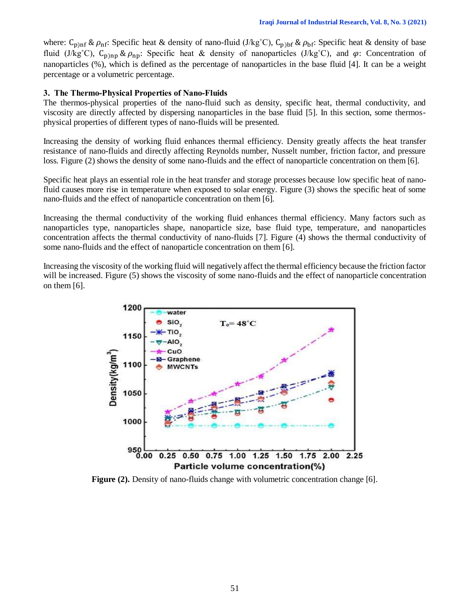where:  $C_{\text{p}}$ <sub>nf</sub> &  $\rho_{\text{nf}}$ : Specific heat & density of nano-fluid (J/kg<sup>°</sup>C),  $C_{\text{p}}$ <sub>bf</sub>: Specific heat & density of base fluid (J/kg<sup>°</sup>C), C<sub>p)np</sub> &  $\rho_{\text{nn}}$ : Specific heat & density of nanoparticles (J/kg<sup>°</sup>C), and  $\varphi$ : Concentration of nanoparticles (%), which is defined as the percentage of nanoparticles in the base fluid [4]. It can be a weight percentage or a volumetric percentage.

### **3. The Thermo-Physical Properties of Nano-Fluids**

The thermos-physical properties of the nano-fluid such as density, specific heat, thermal conductivity, and viscosity are directly affected by dispersing nanoparticles in the base fluid [5]. In this section, some thermosphysical properties of different types of nano-fluids will be presented.

Increasing the density of working fluid enhances thermal efficiency. Density greatly affects the heat transfer resistance of nano-fluids and directly affecting Reynolds number, Nusselt number, friction factor, and pressure loss. Figure (2) shows the density of some nano-fluids and the effect of nanoparticle concentration on them [6].

Specific heat plays an essential role in the heat transfer and storage processes because low specific heat of nanofluid causes more rise in temperature when exposed to solar energy. Figure (3) shows the specific heat of some nano-fluids and the effect of nanoparticle concentration on them [6].

Increasing the thermal conductivity of the working fluid enhances thermal efficiency. Many factors such as nanoparticles type, nanoparticles shape, nanoparticle size, base fluid type, temperature, and nanoparticles concentration affects the thermal conductivity of nano-fluids [7]. Figure (4) shows the thermal conductivity of some nano-fluids and the effect of nanoparticle concentration on them [6].

Increasing the viscosity of the working fluid will negatively affect the thermal efficiency because the friction factor will be increased. Figure (5) shows the viscosity of some nano-fluids and the effect of nanoparticle concentration on them [6].



**Figure (2).** Density of nano-fluids change with volumetric concentration change [6].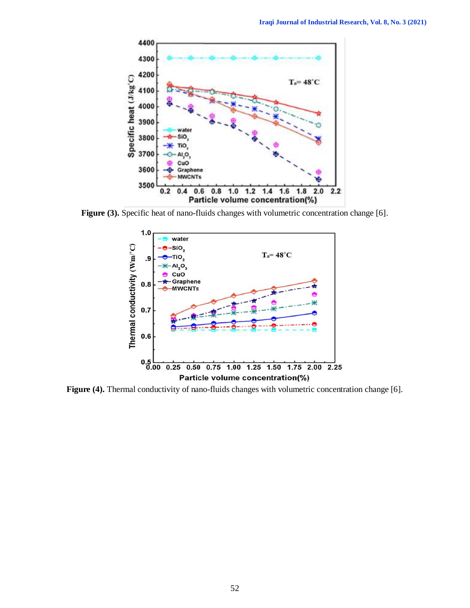

Figure (3). Specific heat of nano-fluids changes with volumetric concentration change [6].



Figure (4). Thermal conductivity of nano-fluids changes with volumetric concentration change [6].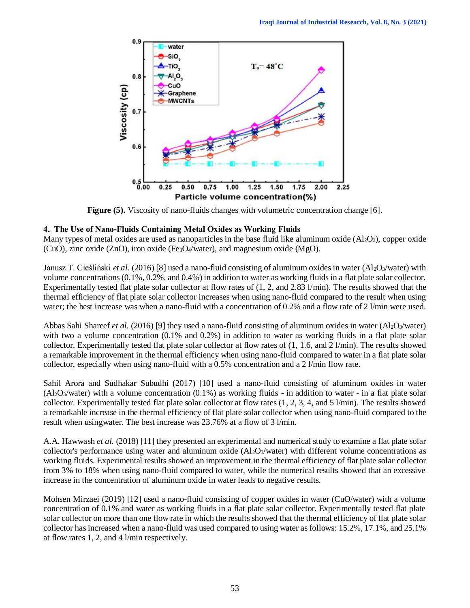

**Figure (5).** Viscosity of nano-fluids changes with volumetric concentration change [6].

## **4. The Use of Nano-Fluids Containing Metal Oxides as Working Fluids**

Many types of metal oxides are used as nanoparticles in the base fluid like aluminum oxide  $(A_1Q_3)$ , copper oxide (CuO), zinc oxide (ZnO), iron oxide (Fe<sub>3</sub>O<sub>4</sub>/water), and magnesium oxide (MgO).

Janusz T. Cieśliński *et al.* (2016) [8] used a nano-fluid consisting of aluminum oxides in water (Al2O3/water) with volume concentrations (0.1%, 0.2%, and 0.4%) in addition to water as working fluids in a flat plate solar collector. Experimentally tested flat plate solar collector at flow rates of (1, 2, and 2.83 l/min). The results showed that the thermal efficiency of flat plate solar collector increases when using nano-fluid compared to the result when using water; the best increase was when a nano-fluid with a concentration of 0.2% and a flow rate of 2 l/min were used.

Abbas Sahi Shareef *et al.* (2016) [9] they used a nano-fluid consisting of aluminum oxides in water (Al<sub>2</sub>O<sub>3</sub>/water) with two a volume concentration (0.1% and 0.2%) in addition to water as working fluids in a flat plate solar collector. Experimentally tested flat plate solar collector at flow rates of (1, 1.6, and 2 l/min). The results showed a remarkable improvement in the thermal efficiency when using nano-fluid compared to water in a flat plate solar collector, especially when using nano-fluid with a 0.5% concentration and a 2 l/min flow rate.

Sahil Arora and Sudhakar Subudhi (2017) [10] used a nano-fluid consisting of aluminum oxides in water  $(A<sub>2</sub>O<sub>3</sub>/water)$  with a volume concentration  $(0.1%)$  as working fluids - in addition to water - in a flat plate solar collector. Experimentally tested flat plate solar collector at flow rates (1, 2, 3, 4, and 5 l/min). The results showed a remarkable increase in the thermal efficiency of flat plate solar collector when using nano-fluid compared to the result when usingwater. The best increase was 23.76% at a flow of 3 l/min.

A.A. Hawwash *et al.* (2018) [11] they presented an experimental and numerical study to examine a flat plate solar collector's performance using water and aluminum oxide  $(Al_2O_3/water)$  with different volume concentrations as working fluids. Experimental results showed an improvement in the thermal efficiency of flat plate solar collector from 3% to 18% when using nano-fluid compared to water, while the numerical results showed that an excessive increase in the concentration of aluminum oxide in water leads to negative results.

Mohsen Mirzaei (2019) [12] used a nano-fluid consisting of copper oxides in water (CuO/water) with a volume concentration of 0.1% and water as working fluids in a flat plate solar collector. Experimentally tested flat plate solar collector on more than one flow rate in which the results showed that the thermal efficiency of flat plate solar collector has increased when a nano-fluid was used compared to using water as follows: 15.2%, 17.1%, and 25.1% at flow rates 1, 2, and 4 l/min respectively.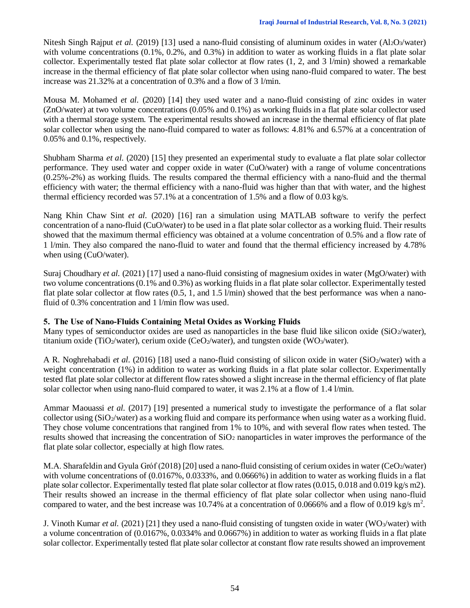Nitesh Singh Rajput *et al.* (2019) [13] used a nano-fluid consisting of aluminum oxides in water (Al2O3/water) with volume concentrations (0.1%, 0.2%, and 0.3%) in addition to water as working fluids in a flat plate solar collector. Experimentally tested flat plate solar collector at flow rates (1, 2, and 3 l/min) showed a remarkable increase in the thermal efficiency of flat plate solar collector when using nano-fluid compared to water. The best increase was 21.32% at a concentration of 0.3% and a flow of 3 l/min.

Mousa M. Mohamed *et al.* (2020) [14] they used water and a nano-fluid consisting of zinc oxides in water (ZnO/water) at two volume concentrations (0.05% and 0.1%) as working fluids in a flat plate solar collector used with a thermal storage system. The experimental results showed an increase in the thermal efficiency of flat plate solar collector when using the nano-fluid compared to water as follows: 4.81% and 6.57% at a concentration of 0.05% and 0.1%, respectively.

Shubham Sharma *et al.* (2020) [15] they presented an experimental study to evaluate a flat plate solar collector performance. They used water and copper oxide in water (CuO/water) with a range of volume concentrations (0.25%-2%) as working fluids. The results compared the thermal efficiency with a nano-fluid and the thermal efficiency with water; the thermal efficiency with a nano-fluid was higher than that with water, and the highest thermal efficiency recorded was 57.1% at a concentration of 1.5% and a flow of 0.03 kg/s.

Nang Khin Chaw Sint *et al.* (2020) [16] ran a simulation using MATLAB software to verify the perfect concentration of a nano-fluid (CuO/water) to be used in a flat plate solar collector as a working fluid. Their results showed that the maximum thermal efficiency was obtained at a volume concentration of 0.5% and a flow rate of 1 l/min. They also compared the nano-fluid to water and found that the thermal efficiency increased by 4.78% when using (CuO/water).

Suraj Choudhary *et al.* (2021) [17] used a nano-fluid consisting of magnesium oxides in water (MgO/water) with two volume concentrations (0.1% and 0.3%) as working fluids in a flat plate solar collector. Experimentally tested flat plate solar collector at flow rates (0.5, 1, and 1.5 l/min) showed that the best performance was when a nanofluid of 0.3% concentration and 1 l/min flow was used.

### **5. The Use of Nano-Fluids Containing Metal Oxides as Working Fluids**

Many types of semiconductor oxides are used as nanoparticles in the base fluid like silicon oxide (SiO2/water), titanium oxide (TiO<sub>2</sub>/water), cerium oxide (CeO<sub>2</sub>/water), and tungsten oxide (WO<sub>3</sub>/water).

A R. Noghrehabadi *et al.* (2016) [18] used a nano-fluid consisting of silicon oxide in water (SiO2/water) with a weight concentration (1%) in addition to water as working fluids in a flat plate solar collector. Experimentally tested flat plate solar collector at different flow rates showed a slight increase in the thermal efficiency of flat plate solar collector when using nano-fluid compared to water, it was 2.1% at a flow of 1.4 l/min.

Ammar Maouassi *et al.* (2017) [19] presented a numerical study to investigate the performance of a flat solar collector using (SiO2/water) as a working fluid and compare its performance when using water as a working fluid. They chose volume concentrations that rangined from 1% to 10%, and with several flow rates when tested. The results showed that increasing the concentration of  $SiO<sub>2</sub>$  nanoparticles in water improves the performance of the flat plate solar collector, especially at high flow rates.

M.A. Sharafeldin and Gyula Gróf (2018) [20] used a nano-fluid consisting of cerium oxides in water (CeO2/water) with volume concentrations of  $(0.0167\%, 0.0333\%,$  and 0.0666%) in addition to water as working fluids in a flat plate solar collector. Experimentally tested flat plate solar collector at flow rates (0.015, 0.018 and 0.019 kg/s m2). Their results showed an increase in the thermal efficiency of flat plate solar collector when using nano-fluid compared to water, and the best increase was 10.74% at a concentration of 0.0666% and a flow of 0.019 kg/s  $m^2$ .

J. Vinoth Kumar *et al.* (2021) [21] they used a nano-fluid consisting of tungsten oxide in water (WO3/water) with a volume concentration of (0.0167%, 0.0334% and 0.0667%) in addition to water as working fluids in a flat plate solar collector. Experimentally tested flat plate solar collector at constant flow rate results showed an improvement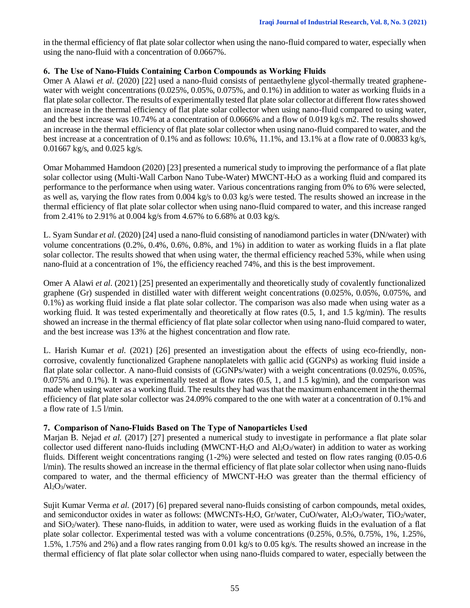in the thermal efficiency of flat plate solar collector when using the nano-fluid compared to water, especially when using the nano-fluid with a concentration of 0.0667%.

## **6. The Use of Nano-Fluids Containing Carbon Compounds as Working Fluids**

Omer A Alawi *et al.* (2020) [22] used a nano-fluid consists of pentaethylene glycol-thermally treated graphenewater with weight concentrations  $(0.025\%, 0.05\%, 0.075\%,$  and  $(0.1\%)$  in addition to water as working fluids in a flat plate solar collector. The results of experimentally tested flat plate solar collector at different flow rates showed an increase in the thermal efficiency of flat plate solar collector when using nano-fluid compared to using water, and the best increase was 10.74% at a concentration of 0.0666% and a flow of 0.019 kg/s m2. The results showed an increase in the thermal efficiency of flat plate solar collector when using nano-fluid compared to water, and the best increase at a concentration of 0.1% and as follows: 10.6%, 11.1%, and 13.1% at a flow rate of 0.00833 kg/s, 0.01667 kg/s, and 0.025 kg/s.

Omar Mohammed Hamdoon (2020) [23] presented a numerical study to improving the performance of a flat plate solar collector using (Multi-Wall Carbon Nano Tube-Water) MWCNT-H2O as a working fluid and compared its performance to the performance when using water. Various concentrations ranging from 0% to 6% were selected, as well as, varying the flow rates from 0.004 kg/s to 0.03 kg/s were tested. The results showed an increase in the thermal efficiency of flat plate solar collector when using nano-fluid compared to water, and this increase ranged from 2.41% to 2.91% at 0.004 kg/s from 4.67% to 6.68% at 0.03 kg/s.

L. Syam Sundar *et al.* (2020) [24] used a nano-fluid consisting of nanodiamond particles in water (DN/water) with volume concentrations (0.2%, 0.4%, 0.6%, 0.8%, and 1%) in addition to water as working fluids in a flat plate solar collector. The results showed that when using water, the thermal efficiency reached 53%, while when using nano-fluid at a concentration of 1%, the efficiency reached 74%, and this is the best improvement.

Omer A Alawi *et al.* (2021) [25] presented an experimentally and theoretically study of covalently functionalized graphene (Gr) suspended in distilled water with different weight concentrations (0.025%, 0.05%, 0.075%, and 0.1%) as working fluid inside a flat plate solar collector. The comparison was also made when using water as a working fluid. It was tested experimentally and theoretically at flow rates (0.5, 1, and 1.5 kg/min). The results showed an increase in the thermal efficiency of flat plate solar collector when using nano-fluid compared to water, and the best increase was 13% at the highest concentration and flow rate.

L. Harish Kumar *et al.* (2021) [26] presented an investigation about the effects of using eco-friendly, noncorrosive, covalently functionalized Graphene nanoplatelets with gallic acid (GGNPs) as working fluid inside a flat plate solar collector. A nano-fluid consists of (GGNPs/water) with a weight concentrations (0.025%, 0.05%, 0.075% and 0.1%). It was experimentally tested at flow rates (0.5, 1, and 1.5 kg/min), and the comparison was made when using water as a working fluid. The results they had was that the maximum enhancement in the thermal efficiency of flat plate solar collector was 24.09% compared to the one with water at a concentration of 0.1% and a flow rate of 1.5 l/min.

## **7. Comparison of Nano-Fluids Based on The Type of Nanoparticles Used**

Marjan B. Nejad *et al.* (2017) [27] presented a numerical study to investigate in performance a flat plate solar collector used different nano-fluids including (MWCNT-H<sub>2</sub>O and  $Al_2O_3/water$ ) in addition to water as working fluids. Different weight concentrations ranging (1-2%) were selected and tested on flow rates ranging (0.05-0.6 l/min). The results showed an increase in the thermal efficiency of flat plate solar collector when using nano-fluids compared to water, and the thermal efficiency of MWCNT-H2O was greater than the thermal efficiency of  $Al_2O_3/water.$ 

Sujit Kumar Verma *et al.* (2017) [6] prepared several nano-fluids consisting of carbon compounds, metal oxides, and semiconductor oxides in water as follows: (MWCNTs-H<sub>2</sub>O, Gr/water, CuO/water, Al<sub>2</sub>O<sub>3</sub>/water, TiO<sub>2</sub>/water, and  $SiO_2/water$ ). These nano-fluids, in addition to water, were used as working fluids in the evaluation of a flat plate solar collector. Experimental tested was with a volume concentrations (0.25%, 0.5%, 0.75%, 1%, 1.25%, 1.5%, 1.75% and 2%) and a flow rates ranging from 0.01 kg/s to 0.05 kg/s. The results showed an increase in the thermal efficiency of flat plate solar collector when using nano-fluids compared to water, especially between the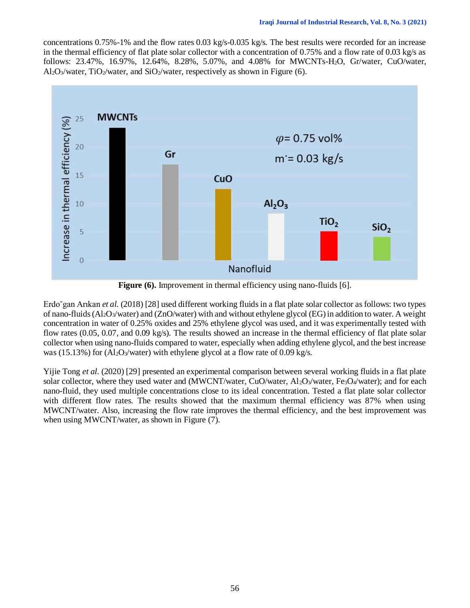concentrations 0.75%-1% and the flow rates 0.03 kg/s-0.035 kg/s. The best results were recorded for an increase in the thermal efficiency of flat plate solar collector with a concentration of 0.75% and a flow rate of 0.03 kg/s as follows: 23.47%, 16.97%, 12.64%, 8.28%, 5.07%, and 4.08% for MWCNTs-H2O, Gr/water, CuO/water, Al<sub>2</sub>O<sub>3</sub>/water, TiO<sub>2</sub>/water, and SiO<sub>2</sub>/water, respectively as shown in Figure (6).



Figure (6). Improvement in thermal efficiency using nano-fluids [6].

Erdo˘gan Arıkan *et al.* (2018) [28] used different working fluids in a flat plate solar collector as follows: two types of nano-fluids  $(A_2O_3/water)$  and  $(ZnO/water)$  with and without ethylene glycol (EG) in addition to water. A weight concentration in water of 0.25% oxides and 25% ethylene glycol was used, and it was experimentally tested with flow rates (0.05, 0.07, and 0.09 kg/s). The results showed an increase in the thermal efficiency of flat plate solar collector when using nano-fluids compared to water, especially when adding ethylene glycol, and the best increase was (15.13%) for (Al<sub>2</sub>O<sub>3</sub>/water) with ethylene glycol at a flow rate of 0.09 kg/s.

Yijie Tong *et al.* (2020) [29] presented an experimental comparison between several working fluids in a flat plate solar collector, where they used water and (MWCNT/water, CuO/water, Al<sub>2</sub>O<sub>3</sub>/water, Fe<sub>3</sub>O<sub>4</sub>/water); and for each nano-fluid, they used multiple concentrations close to its ideal concentration. Tested a flat plate solar collector with different flow rates. The results showed that the maximum thermal efficiency was 87% when using MWCNT/water. Also, increasing the flow rate improves the thermal efficiency, and the best improvement was when using MWCNT/water, as shown in Figure (7).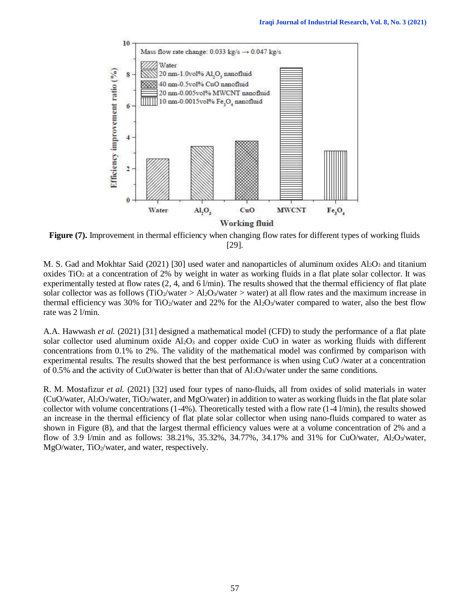

**Figure** (7). Improvement in thermal efficiency when changing flow rates for different types of working fluids [29].

M. S. Gad and Mokhtar Said (2021) [30] used water and nanoparticles of aluminum oxides  $Al_2O_3$  and titanium oxides  $TiO<sub>2</sub>$  at a concentration of 2% by weight in water as working fluids in a flat plate solar collector. It was experimentally tested at flow rates  $(2, 4, \text{ and } 6 \text{ } l/\text{min})$ . The results showed that the thermal efficiency of flat plate solar collector was as follows (TiO<sub>2</sub>/water > Al<sub>2</sub>O<sub>3</sub>/water > water) at all flow rates and the maximum increase in thermal efficiency was 30% for TiO<sub>2</sub>/water and 22% for the Al<sub>2</sub>O<sub>3</sub>/water compared to water, also the best flow rate was 2 l/min.

A.A. Hawwash *et al.* (2021) [31] designed a mathematical model (CFD) to study the performance of a flat plate solar collector used aluminum oxide  $Al_2O_3$  and copper oxide CuO in water as working fluids with different concentrations from 0.1% to 2%. The validity of the mathematical model was confirmed by comparison with experimental results. The results showed that the best performance is when using CuO /water at a concentration of 0.5% and the activity of CuO/water is better than that of  $A_2O_3$ /water under the same conditions.

R. M. Mostafizur *et al.* (2021) [32] used four types of nano-fluids, all from oxides of solid materials in water (CuO/water, Al2O3/water, TiO2/water, and MgO/water) in addition to water as working fluids in the flat plate solar collector with volume concentrations  $(1-4\%)$ . Theoretically tested with a flow rate  $(1-4 \text{ /min})$ , the results showed an increase in the thermal efficiency of flat plate solar collector when using nano-fluids compared to water as shown in Figure (8), and that the largest thermal efficiency values were at a volume concentration of 2% and a flow of 3.9 l/min and as follows: 38.21%, 35.32%, 34.77%, 34.17% and 31% for CuO/water, Al2O3/water, MgO/water, TiO2/water, and water, respectively.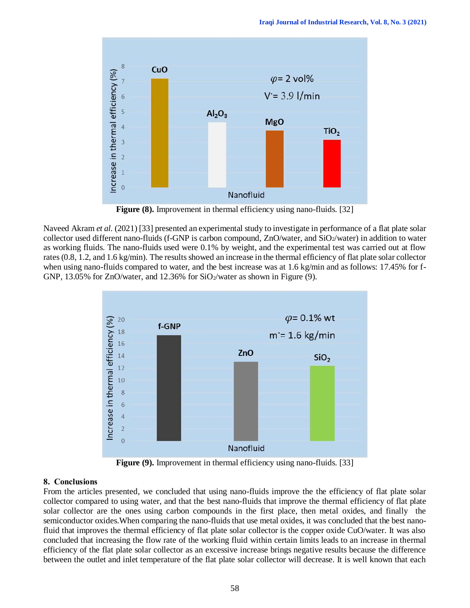

**Figure (8).** Improvement in thermal efficiency using nano-fluids. [32]

Naveed Akram *et al.* (2021) [33] presented an experimental study to investigate in performance of a flat plate solar collector used different nano-fluids (f-GNP is carbon compound, ZnO/water, and SiO2/water) in addition to water as working fluids. The nano-fluids used were 0.1% by weight, and the experimental test was carried out at flow rates (0.8, 1.2, and 1.6 kg/min). The results showed an increase in the thermal efficiency of flat plate solar collector when using nano-fluids compared to water, and the best increase was at 1.6 kg/min and as follows: 17.45% for f-GNP, 13.05% for ZnO/water, and 12.36% for  $SiO_2$ /water as shown in Figure (9).



**Figure (9).** Improvement in thermal efficiency using nano-fluids. [33]

## **8. Conclusions**

From the articles presented, we concluded that using nano-fluids improve the the efficiency of flat plate solar collector compared to using water, and that the best nano-fluids that improve the thermal efficiency of flat plate solar collector are the ones using carbon compounds in the first place, then metal oxides, and finally the semiconductor oxides.When comparing the nano-fluids that use metal oxides, it was concluded that the best nanofluid that improves the thermal efficiency of flat plate solar collector is the copper oxide CuO/water. It was also concluded that increasing the flow rate of the working fluid within certain limits leads to an increase in thermal efficiency of the flat plate solar collector as an excessive increase brings negative results because the difference between the outlet and inlet temperature of the flat plate solar collector will decrease. It is well known that each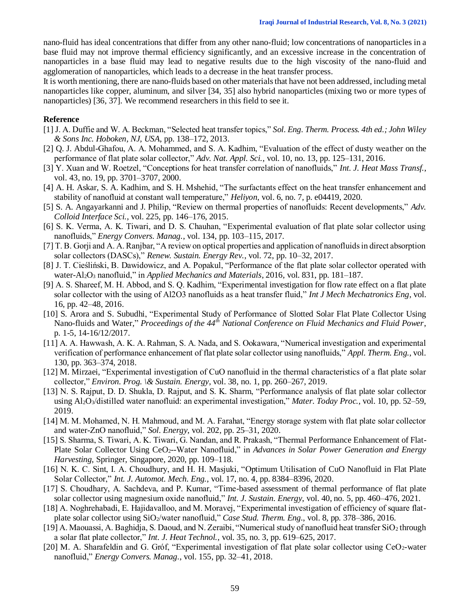nano-fluid has ideal concentrations that differ from any other nano-fluid; low concentrations of nanoparticles in a base fluid may not improve thermal efficiency significantly, and an excessive increase in the concentration of nanoparticles in a base fluid may lead to negative results due to the high viscosity of the nano-fluid and agglomeration of nanoparticles, which leads to a decrease in the heat transfer process.

It is worth mentioning, there are nano-fluids based on other materials that have not been addressed, including metal nanoparticles like copper, aluminum, and silver [34, 35] also hybrid nanoparticles (mixing two or more types of nanoparticles) [36, 37]. We recommend researchers in this field to see it.

#### **Reference**

- [1] J. A. Duffie and W. A. Beckman, "Selected heat transfer topics," *Sol. Eng. Therm. Process. 4th ed.; John Wiley & Sons Inc. Hoboken, NJ, USA*, pp. 138–172, 2013.
- [2] Q. J. Abdul-Ghafou, A. A. Mohammed, and S. A. Kadhim, "Evaluation of the effect of dusty weather on the performance of flat plate solar collector," *Adv. Nat. Appl. Sci.*, vol. 10, no. 13, pp. 125–131, 2016.
- [3] Y. Xuan and W. Roetzel, "Conceptions for heat transfer correlation of nanofluids," *Int. J. Heat Mass Transf.*, vol. 43, no. 19, pp. 3701–3707, 2000.
- [4] A. H. Askar, S. A. Kadhim, and S. H. Mshehid, "The surfactants effect on the heat transfer enhancement and stability of nanofluid at constant wall temperature," *Heliyon*, vol. 6, no. 7, p. e04419, 2020.
- [5] S. A. Angayarkanni and J. Philip, "Review on thermal properties of nanofluids: Recent developments," *Adv. Colloid Interface Sci.*, vol. 225, pp. 146–176, 2015.
- [6] S. K. Verma, A. K. Tiwari, and D. S. Chauhan, "Experimental evaluation of flat plate solar collector using nanofluids," *Energy Convers. Manag.*, vol. 134, pp. 103–115, 2017.
- [7] T. B. Gorji and A. A. Ranjbar, "A review on optical properties and application of nanofluids in direct absorption solar collectors (DASCs)," *Renew. Sustain. Energy Rev.*, vol. 72, pp. 10–32, 2017.
- [8] J. T. Cieśliński, B. Dawidowicz, and A. Popakul, "Performance of the flat plate solar collector operated with water-Al2O<sup>3</sup> nanofluid," in *Applied Mechanics and Materials*, 2016, vol. 831, pp. 181–187.
- [9] A. S. Shareef, M. H. Abbod, and S. Q. Kadhim, "Experimental investigation for flow rate effect on a flat plate solar collector with the using of Al2O3 nanofluids as a heat transfer fluid," *Int J Mech Mechatronics Eng*, vol. 16, pp. 42–48, 2016.
- [10] S. Arora and S. Subudhi, "Experimental Study of Performance of Slotted Solar Flat Plate Collector Using Nano-fluids and Water," *Proceedings of the 44th National Conference on Fluid Mechanics and Fluid Power*, p. 1-5, 14-16/12/2017.
- [11] A. A. Hawwash, A. K. A. Rahman, S. A. Nada, and S. Ookawara, "Numerical investigation and experimental verification of performance enhancement of flat plate solar collector using nanofluids," *Appl. Therm. Eng.*, vol. 130, pp. 363–374, 2018.
- [12] M. Mirzaei, "Experimental investigation of CuO nanofluid in the thermal characteristics of a flat plate solar collector," *Environ. Prog. \& Sustain. Energy*, vol. 38, no. 1, pp. 260–267, 2019.
- [13] N. S. Rajput, D. D. Shukla, D. Rajput, and S. K. Sharm, "Performance analysis of flat plate solar collector using Al2O3/distilled water nanofluid: an experimental investigation," *Mater. Today Proc.*, vol. 10, pp. 52–59, 2019.
- [14] M. M. Mohamed, N. H. Mahmoud, and M. A. Farahat, "Energy storage system with flat plate solar collector and water-ZnO nanofluid," *Sol. Energy*, vol. 202, pp. 25–31, 2020.
- [15] S. Sharma, S. Tiwari, A. K. Tiwari, G. Nandan, and R. Prakash, "Thermal Performance Enhancement of Flat-Plate Solar Collector Using CeO2--Water Nanofluid," in *Advances in Solar Power Generation and Energy Harvesting*, Springer, Singapore, 2020, pp. 109–118.
- [16] N. K. C. Sint, I. A. Choudhury, and H. H. Masjuki, "Optimum Utilisation of CuO Nanofluid in Flat Plate Solar Collector," *Int. J. Automot. Mech. Eng.*, vol. 17, no. 4, pp. 8384–8396, 2020.
- [17] S. Choudhary, A. Sachdeva, and P. Kumar, "Time-based assessment of thermal performance of flat plate solar collector using magnesium oxide nanofluid," *Int. J. Sustain. Energy*, vol. 40, no. 5, pp. 460–476, 2021.
- [18] A. Noghrehabadi, E. Hajidavalloo, and M. Moravej, "Experimental investigation of efficiency of square flatplate solar collector using SiO2/water nanofluid," *Case Stud. Therm. Eng.*, vol. 8, pp. 378–386, 2016.
- [19] A. Maouassi, A. Baghidja, S. Daoud, and N. Zeraibi, "Numerical study of nanofluid heat transfer SiO<sub>2</sub> through a solar flat plate collector," *Int. J. Heat Technol.*, vol. 35, no. 3, pp. 619–625, 2017.
- [20] M. A. Sharafeldin and G. Gróf, "Experimental investigation of flat plate solar collector using CeO2-water nanofluid," *Energy Convers. Manag.*, vol. 155, pp. 32–41, 2018.